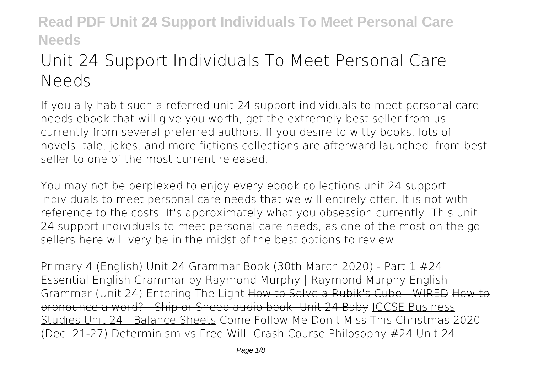# **Unit 24 Support Individuals To Meet Personal Care Needs**

If you ally habit such a referred **unit 24 support individuals to meet personal care needs** ebook that will give you worth, get the extremely best seller from us currently from several preferred authors. If you desire to witty books, lots of novels, tale, jokes, and more fictions collections are afterward launched, from best seller to one of the most current released.

You may not be perplexed to enjoy every ebook collections unit 24 support individuals to meet personal care needs that we will entirely offer. It is not with reference to the costs. It's approximately what you obsession currently. This unit 24 support individuals to meet personal care needs, as one of the most on the go sellers here will very be in the midst of the best options to review.

*Primary 4 (English) Unit 24 Grammar Book (30th March 2020) - Part 1 #24 Essential English Grammar by Raymond Murphy | Raymond Murphy English Grammar (Unit 24)* Entering The Light How to Solve a Rubik's Cube | WIRED How to pronounce a word? - Ship or Sheep audio book -Unit 24 Baby IGCSE Business Studies Unit 24 - Balance Sheets *Come Follow Me Don't Miss This Christmas 2020 (Dec. 21-27)* **Determinism vs Free Will: Crash Course Philosophy #24 Unit 24**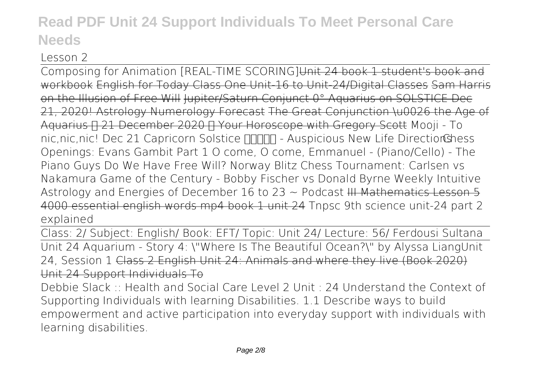### **Lesson 2**

Composing for Animation [REAL-TIME SCORING]Unit 24 book 1 student's book and workbook English for Today Class One Unit-16 to Unit-24/Digital Classes Sam Harris on the Illusion of Free Will Jupiter/Saturn Conjunct 0° Aquarius on SOLSTICE Dec 21, 2020! Astrology Numerology Forecast The Great Conjunction \u0026 the Age of Aquarius  $\Box$  21 December 2020  $\Box$  Your Horoscope with Gregory Scott Mooji - To nic,nic,nic! Dec 21 Capricorn Solstice ∏∏∏∏ - Auspicious New Life DirectionGhess *Openings: Evans Gambit Part 1 O come, O come, Emmanuel - (Piano/Cello) - The Piano Guys* Do We Have Free Will? **Norway Blitz Chess Tournament: Carlsen vs Nakamura** *Game of the Century - Bobby Fischer vs Donald Byrne* Weekly Intuitive Astrology and Energies of December 16 to 23  $\sim$  Podcast III Mathematics Lesson 5 4000 essential english words mp4 book 1 unit 24 **Tnpsc 9th science unit-24 part 2 explained**

Class: 2/ Subject: English/ Book: EFT/ Topic: Unit 24/ Lecture: 56/ Ferdousi Sultana Unit 24 Aquarium - Story 4: \"Where Is The Beautiful Ocean?\" by Alyssa Liang**Unit 24, Session 1** Class 2 English Unit 24: Animals and where they live (Book 2020) Unit 24 Support Individuals To

Debbie Slack :: Health and Social Care Level 2 Unit : 24 Understand the Context of Supporting Individuals with learning Disabilities. 1.1 Describe ways to build empowerment and active participation into everyday support with individuals with learning disabilities.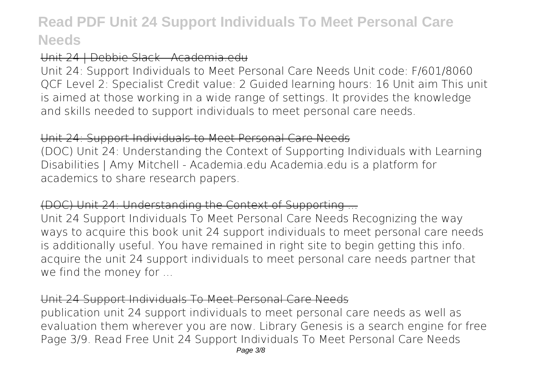### Unit 24 | Debbie Slack - Academia.edu

Unit 24: Support Individuals to Meet Personal Care Needs Unit code: F/601/8060 QCF Level 2: Specialist Credit value: 2 Guided learning hours: 16 Unit aim This unit is aimed at those working in a wide range of settings. It provides the knowledge and skills needed to support individuals to meet personal care needs.

#### Unit 24: Support Individuals to Meet Personal Care Needs

(DOC) Unit 24: Understanding the Context of Supporting Individuals with Learning Disabilities | Amy Mitchell - Academia.edu Academia.edu is a platform for academics to share research papers.

### (DOC) Unit 24: Understanding the Context of Supporting ...

Unit 24 Support Individuals To Meet Personal Care Needs Recognizing the way ways to acquire this book unit 24 support individuals to meet personal care needs is additionally useful. You have remained in right site to begin getting this info. acquire the unit 24 support individuals to meet personal care needs partner that we find the money for ...

### Unit 24 Support Individuals To Meet Personal Care Needs

publication unit 24 support individuals to meet personal care needs as well as evaluation them wherever you are now. Library Genesis is a search engine for free Page 3/9. Read Free Unit 24 Support Individuals To Meet Personal Care Needs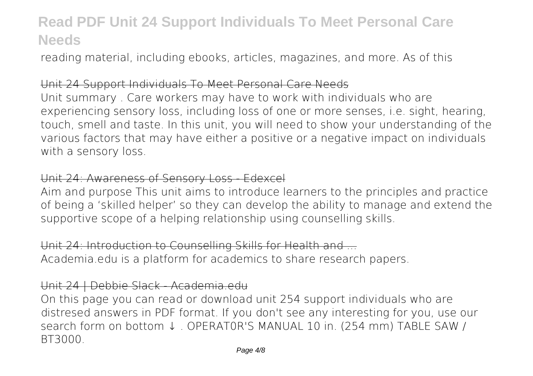reading material, including ebooks, articles, magazines, and more. As of this

#### Unit 24 Support Individuals To Meet Personal Care Needs

Unit summary . Care workers may have to work with individuals who are experiencing sensory loss, including loss of one or more senses, i.e. sight, hearing, touch, smell and taste. In this unit, you will need to show your understanding of the various factors that may have either a positive or a negative impact on individuals with a sensory loss.

#### Unit 24: Awareness of Sensory Loss - Edexcel

Aim and purpose This unit aims to introduce learners to the principles and practice of being a 'skilled helper' so they can develop the ability to manage and extend the supportive scope of a helping relationship using counselling skills.

Unit 24: Introduction to Counselling Skills for Health and ... Academia.edu is a platform for academics to share research papers.

#### Unit 24 | Debbie Slack - Academia.edu

On this page you can read or download unit 254 support individuals who are distresed answers in PDF format. If you don't see any interesting for you, use our search form on bottom ↓ . OPERAT0R'S MANUAL 10 in. (254 mm) TABLE SAW / BT3000.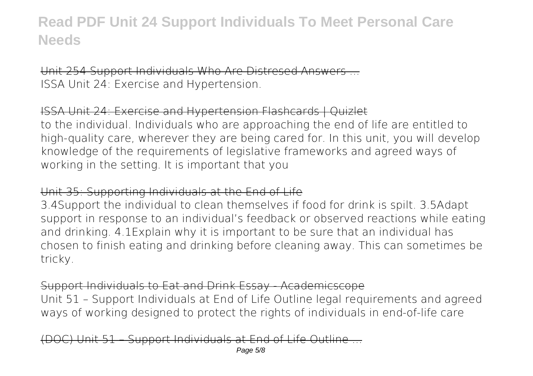Unit 254 Support Individuals Who Are Distresed Answers ... ISSA Unit 24: Exercise and Hypertension.

ISSA Unit 24: Exercise and Hypertension Flashcards | Quizlet to the individual. Individuals who are approaching the end of life are entitled to high-quality care, wherever they are being cared for. In this unit, you will develop knowledge of the requirements of legislative frameworks and agreed ways of working in the setting. It is important that you

#### Unit 35: Supporting Individuals at the End of Life

3.4Support the individual to clean themselves if food for drink is spilt. 3.5Adapt support in response to an individual's feedback or observed reactions while eating and drinking. 4.1Explain why it is important to be sure that an individual has chosen to finish eating and drinking before cleaning away. This can sometimes be tricky.

### Support Individuals to Eat and Drink Essay - Academicscope

Unit 51 – Support Individuals at End of Life Outline legal requirements and agreed ways of working designed to protect the rights of individuals in end-of-life care

Support Individuals at End of Life Outline Page 5/8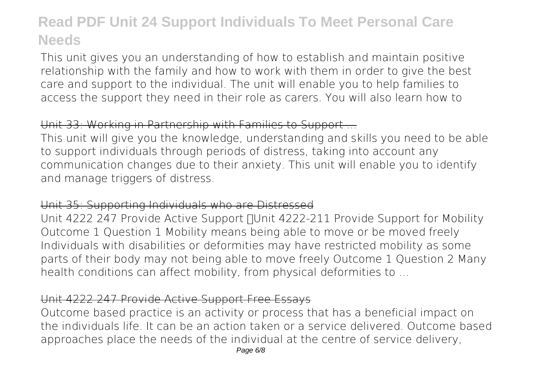This unit gives you an understanding of how to establish and maintain positive relationship with the family and how to work with them in order to give the best care and support to the individual. The unit will enable you to help families to access the support they need in their role as carers. You will also learn how to

### Unit 33: Working in Partnership with Families to Support ...

This unit will give you the knowledge, understanding and skills you need to be able to support individuals through periods of distress, taking into account any communication changes due to their anxiety. This unit will enable you to identify and manage triggers of distress.

#### Unit 35: Supporting Individuals who are Distressed

Unit 4222 247 Provide Active Support <sub>[</sub> Unit 4222-211 Provide Support for Mobility Outcome 1 Question 1 Mobility means being able to move or be moved freely Individuals with disabilities or deformities may have restricted mobility as some parts of their body may not being able to move freely Outcome 1 Question 2 Many health conditions can affect mobility, from physical deformities to ...

### Unit 4222 247 Provide Active Support Free Essays

Outcome based practice is an activity or process that has a beneficial impact on the individuals life. It can be an action taken or a service delivered. Outcome based approaches place the needs of the individual at the centre of service delivery,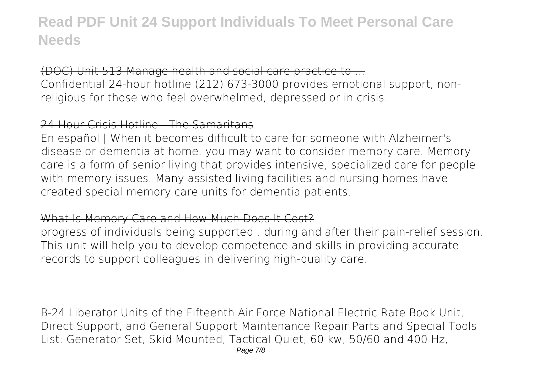(DOC) Unit 513 Manage health and social care practice to ... Confidential 24-hour hotline (212) 673-3000 provides emotional support, nonreligious for those who feel overwhelmed, depressed or in crisis.

### 24-Hour Crisis Hotline - The Samaritans

En español | When it becomes difficult to care for someone with Alzheimer's disease or dementia at home, you may want to consider memory care. Memory care is a form of senior living that provides intensive, specialized care for people with memory issues. Many assisted living facilities and nursing homes have created special memory care units for dementia patients.

#### What Is Memory Care and How Much Does It Cost?

progress of individuals being supported , during and after their pain-relief session. This unit will help you to develop competence and skills in providing accurate records to support colleagues in delivering high-quality care.

B-24 Liberator Units of the Fifteenth Air Force National Electric Rate Book Unit, Direct Support, and General Support Maintenance Repair Parts and Special Tools List: Generator Set, Skid Mounted, Tactical Quiet, 60 kw, 50/60 and 400 Hz,